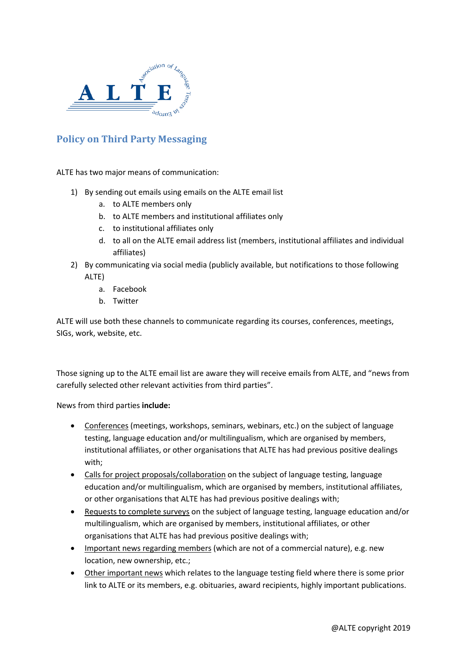

## **Policy on Third Party Messaging**

ALTE has two major means of communication:

- 1) By sending out emails using emails on the ALTE email list
	- a. to ALTE members only
	- b. to ALTE members and institutional affiliates only
	- c. to institutional affiliates only
	- d. to all on the ALTE email address list (members, institutional affiliates and individual affiliates)
- 2) By communicating via social media (publicly available, but notifications to those following ALTE)
	- a. Facebook
	- b. Twitter

ALTE will use both these channels to communicate regarding its courses, conferences, meetings, SIGs, work, website, etc.

Those signing up to the ALTE email list are aware they will receive emails from ALTE, and "news from carefully selected other relevant activities from third parties".

## News from third parties **include:**

- Conferences (meetings, workshops, seminars, webinars, etc.) on the subject of language testing, language education and/or multilingualism, which are organised by members, institutional affiliates, or other organisations that ALTE has had previous positive dealings with;
- Calls for project proposals/collaboration on the subject of language testing, language education and/or multilingualism, which are organised by members, institutional affiliates, or other organisations that ALTE has had previous positive dealings with;
- Requests to complete surveys on the subject of language testing, language education and/or multilingualism, which are organised by members, institutional affiliates, or other organisations that ALTE has had previous positive dealings with;
- Important news regarding members (which are not of a commercial nature), e.g. new location, new ownership, etc.;
- Other important news which relates to the language testing field where there is some prior link to ALTE or its members, e.g. obituaries, award recipients, highly important publications.